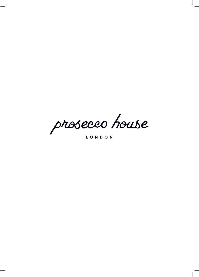prosecco house

LONDON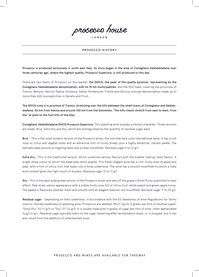

LONDON

#### PROSECCO HISTORY

Prosecco is produced exclusively in north east Italy. Its story began in the area of Conegliano Valdobbiadene over three centuries ago, where the highest quality, Prosecco Superiore, is still produced to this day.

There are two levels of Prosecco on the market: the DOCG, the peak of the quality pyramid, representing by the Conegliano Valdobbiadene denomination, with its 15 hill municipalities, and the DOC base, covering the provinces of Treviso, Belluno, Venice, Padua, Vincenza, Udine, Pordenone, Trieste and Gorizia, a broad denomination made up of more than 600 munipalicities in Veneto and Friuli.

The DOCG zone is in province of Treviso, stretching over the hills between the small towns of Conegliano and Valdobbiadene, 50 km from Venice and around 100 km from the Dolomites. The hills chains stretch from east to west, from the ˜at plain to the foot hills of the Alps.

Conegliano Valdobbiadene DOCG Prosecco Superiore. This sparkling wine displays a vibrant character. Three versions are made: Brut, Extra Dry and Dry, which are distinguished by the quantity of residual sugar each.

Brut – This is the most modern version of the Prosecco wines, the one that best suits international taste. It has a rich nose of citrus and vegetal notes and an attractive hint of crusty bread, plus a highly attractive, vibrant palate. The delicate bead ensures a lingering taste and a clean mouthfeel. Residual sugar 0 to 12 g/l.

Extra Dry – This is the traditional version, which combines various flavours with the bubble' elating, zesty flavour. A bright straw colour to which the bead adds extra sparkle. This fresh, elegant wine has a rich, fruity nose of apple and pear, with a hint of citrus fruit that fades into a floral undertone. The wine has a smooth mouthfeel to which a lively acid content gives the right touch of dryness. Residual sugar 12 to 17 g/l.

Dry - This is the least widespread version of the Prosecco wines and sets off the grape's floral/fruity quantities to best effect. Pale straw-yellow appearance with a subtle fruity nose full of citrus fruit, white peach and green apple tones. The palate is flavoured-packed, fresh and smooth with an elegant medium-dry mouthfeel. Residual sugar 17 to 32 g/l.

Residual sugar – depending on their sweetness, in accordance with the EU Sweetness of wine Regulations for Terms used to indicate sweetness of sparkling wine, Proseccos are labelled "Brut" (up to 12 grams per litre of residual sugar), "Extra Dry" (12-17 g/l) or "Dry" (17-32 g/l). It is usually measured in grams of sugar per litre of wine, often abbreviated to g/l or g/L. Residual sugar typically refers to the sugar remaining after fermentation stops, or is stopped, but it can also result from the addition of unfermented must.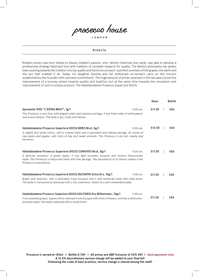

```
LONDON
```
#### RIVALTA

Rivalta's winery was born thanks to Alessio Caldart's passion, who, family's historical vine-yards, was able to develop a professional strategy hand and foot with tradition of constant research for quality. The family's philosophy has always been pushing towards the creation of a top quality and harmonic product, a perfect summary of the grapes, the earth and the sun that created it all. Today, his daughter Daniela and her enthusiast co-workers carry on the mission established by the founder with care and commitment. The huge amount of prizes received in the last years prove the improvement of a journey aimed towards quality and tradition but at the same time towards the innovation and improvement of such a unique product: The Valdobbiadene Prosecco Superiore DOCG.

|                                                                                                                                                                                                                                  | Glass  | <b>Bottle</b> |
|----------------------------------------------------------------------------------------------------------------------------------------------------------------------------------------------------------------------------------|--------|---------------|
| Spumante 1940 "L'EXTRA BRUT", 1g/I<br>11.5% vol.                                                                                                                                                                                 | £11.50 | £56           |
| This Prosecco is very fine, with elegant smell and vivacious perlage. It has fresh notes of white peach<br>and acacia flowers. The taste is dry, fruity and intense.                                                             |        |               |
| Valdobbiadene Prosecco Superiore DOCG NERO Brut, 5g/l<br>11.5% vol.                                                                                                                                                              | £13.50 | £64           |
| A slightly dull straw colour, with a creamy foam and a persistent and intense perlage. An aroma of<br>ripe pears and apples, with hints of hay and sweet almonds. This Prosecco is dry but creamy and<br>harmonic.               |        |               |
| Valdobbiadene Prosecco Superiore DOCG CONVIVIO Brut, 8g/l<br>11.5% vol.                                                                                                                                                          | £11.50 | £56           |
| A delicate sensation of green apple, it has light aromatic bouquet and distinct flavoursome<br>taste. This Prosecco is sharp and fresh with fine perlage. The persistence of its flavour makes it the<br>Prosecco of excellence. |        |               |
| Valdobbiadene Prosecco Superiore DOCG INCONTRI Extra Dry, 15g/I<br>11.5% vol.                                                                                                                                                    | £11.50 | £56           |
| Bright and vivacious, with a delicately fruity bouquet and a well-balanced taste with lively tones.<br>The taste is harmoniously balanced with a dry undertone, thanks to a well-presented acidity.                              |        |               |
| Valdobbiadene Prosecco Superiore DOCG SOLITARIO Dry Millesimato, 24g/l<br>11.5% vol.                                                                                                                                             |        |               |
| From selected grapes, it gives off an intensely fruity bouguet with hints of flowers, and has a distinctive<br>aromatic taste. The taste is delicate with a round finish.                                                        | £11.50 | £56           |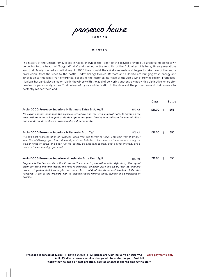#### CIROTTO

The history of the Cirotto family is set in Asolo, known as the "pearl of the Treviso province", a graceful medieval town belonging to the beautiful "Borghi d'Italia" and nestled in the foothills of the Dolomites. It is here, three generations ago, their family started a small vinery. In 2000 they bought their first vineyards and began to take care of the entire production, from the vines to the bottle. Today siblings Monica, Barbara and Gilberto are bringing fresh energy and innovation to this family-run enterprise, collecting the historical heritage of the Asolo wine-growing region. Francesco, Monica's husband, plays a major role in the winery with the goal of delivering authentic wines with a distinctive, character, bearing his personal signature. Their values of rigour and dedication in the vineyard, the production and their wine cellar perfectly reflect their land.

|                                                                                                                                                                                                                                                                                                                                                         |             | Glass  | <b>Bottle</b> |
|---------------------------------------------------------------------------------------------------------------------------------------------------------------------------------------------------------------------------------------------------------------------------------------------------------------------------------------------------------|-------------|--------|---------------|
| Asolo DOCG Prosecco Superiore Millesimato Extra Brut, Og/I                                                                                                                                                                                                                                                                                              | 11% vol.    | £11.00 | £53           |
| No sugar content enhances the vigorous structure and the vivid mineral note. Is bursts on the<br>nose with an intense bouquet of Golden apple and pear, flowing into delicate flavours of citrus<br>and mandarin. An exclusive Prosecco of great personality.                                                                                           |             |        |               |
| Asolo DOCG Prosecco Superiore Millesimato Brut, 7g/l                                                                                                                                                                                                                                                                                                    | $11\%$ vol. | £11.00 | £53           |
| It is the best representation of Prosecco, born from the terroir of Asolo; obtained from their best<br>selection of Glera grapes, it has fine and persistent bubbles, a freshness on the nose enhancing the<br>typical notes of apple and pear. On the palate, an excellent sapidity and a great intensity are a<br>proof of the excellent grapes used. |             |        |               |
| Asolo DOCG Prosecco Superiore Millesimato Extra Dry, 15g/l                                                                                                                                                                                                                                                                                              | 11% vol.    | £11.00 | £53           |
| Elegance is the first quality of this Prosecco. The colour is pale yellow with bright tints, the crystal<br>clear perlage is fine and lasting. The nose is extremely polished, pure and clean, with its unfailing<br>aroma of golden delicious apple and pear. As a child of the Asolo and Montello hills, this                                         |             |        |               |

Prosecco is out of the ordinary with its distinguishable mineral tones, sapidity and persistence of

aromas.

LONDON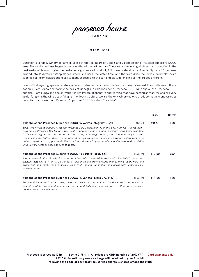

LONDON

#### MARCHIORI

Marchiori is a family winery in Farra di Soligo in the real heart of Conegliano Valdobbiadene Prosecco Superiore DOCG Area. The family business began in the seventies of the last century. The winery is following all stages of production in the best sustainable way to give the customer a guaranteed product, full of real natural taste. The family owns 12 hectares divided into 16 different steep slopes, where sun rises, the water flows and the wind dries the leaves: every plot has a specific soil, from calcareous rocky to marl, exposure to the sun and altitude, making all the grapes different.

"We vinify vineyard grapes separately in order to give importance to the feature of each vineyard. In our hills we cultivate not only Glera Tonda (that forms the basis of Conegliano Valdobbiadene Prosecco DOCG wine and all the Prosecco DOC) but also Glera Lunga and ancient varieties like Perera, Bianchetta and Verdiso that have particular features and are very useful for giving the wine a satisfying harmonious structure. We are the only winery able to produce that ancient varieties pure; for that reason, our Prosecco Superiore DOCG is called "5 varietà".

|                                                                                                                                                                                                                                                                                                                                                                                                                                                                                                                                                                                   | Glass  | <b>Bottle</b> |
|-----------------------------------------------------------------------------------------------------------------------------------------------------------------------------------------------------------------------------------------------------------------------------------------------------------------------------------------------------------------------------------------------------------------------------------------------------------------------------------------------------------------------------------------------------------------------------------|--------|---------------|
| Valdobbiadene Prosecco Superiore DOCG "5 Varietà Integrale", Og/I<br>$11\%$ vol.                                                                                                                                                                                                                                                                                                                                                                                                                                                                                                  | £11.50 | £60           |
| Sugar Free. Valdobbiadene Prosecco Frizzante DOCG Refermented in the Bottle (Ances-tral Method -<br>also called Prosecco Col Fondo). This lightly-sparkling wine is made in accord with local tradition:<br>it ferments again in the bottle in the spring following harvest, and the natural yeast cells<br>remaining in the bottle, which are not filtered out, guarantee its quality preservation. It shows emphatic<br>notes of yeast and a dry palate. On the nose it has flowery fragrances of camomile, rose and dandelion<br>with flowery notes of pear and rennet apples. |        |               |
| Valdobbiadene Prosecco Superiore DOCG "5 Varietà" Brut, 6g/l<br>$11.5\%$ vol.                                                                                                                                                                                                                                                                                                                                                                                                                                                                                                     | £10.50 | £50           |
| A very pleasant mineral taste, fresh and very fine notes; clean white fruit and spice. This Prosecco has<br>elegant taste with dry finish. On the nose it has intriguing fresh wisteria and crunchy pear, mild pink<br>grapefruit and mint; then generous ripe fruit, pollen, dandelion and herbs with undertones of<br>roasted barley.                                                                                                                                                                                                                                           |        |               |
| Valdobbiadene Prosecco Superiore DOCG "5 Varietà" Extra Dry, 14g/l<br>$11.5\%$ vol.                                                                                                                                                                                                                                                                                                                                                                                                                                                                                               | £10.50 | £50           |
| Tasty and beautiful fragrant taste, pleasant, lively and harmonious. On the nose it has sweet and<br>seductive white flower and yellow fruit, citrus and balsamic hints; evolving it offers sweet notes of<br>candied fruit, sage and daisy.                                                                                                                                                                                                                                                                                                                                      |        |               |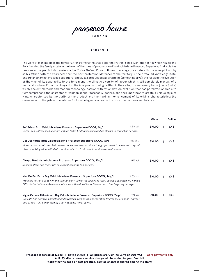#### ANDREOLA

The work of man modifies the territory, transforming the shape and the rhythm. Since 1984, the year in which Nazzareno Pola founded the family estate in the heart of the zone of production of Valdobbiadene Prosecco Superiore, Andreola has been an active part in this transformation. Today Stefano Pola continues to manage the estate with the same philosophy as his father, with the awareness that the best protection (defence) of the territory is the profound knowledge (total understanding) that Prosecco Superiore is not just a product but a living being (something alive): the result of the evolution of the vine, of its adaptability to the terrain and the climatic diversity, of labour which is still completely manual, of a heroic viticulture. From the vineyard to the final product being bottled in the cellar, it is necessary to conjugate (unite) wisely ancient methods and modern technology, passion with rationality. An evolution that has permitted Andreola to fully comprehend the character of Valdobbiadene Prosecco Superiore, and thus know how to create a unique style of wine, characterised by the purity of the product and the maximum enhancement of its original characteristics: the creaminess on the palate, the intense fruity yet elegant aromas on the nose, the harmony and balance.

|                                                                                                                                                                                                             |            | Glass  | <b>Bottle</b> |
|-------------------------------------------------------------------------------------------------------------------------------------------------------------------------------------------------------------|------------|--------|---------------|
| 26° Primo Brut Valdobbiadene Prosecco Superiore DOCG, 0g/l                                                                                                                                                  | 11.5% vol. | £10.00 | £48           |
| Sugar Free. A Prosecco Superiore with an "extra brut" disposition and an elegant lingering fine perlage.                                                                                                    |            |        |               |
| Col Del Forno Brut Valdobbiadene Prosecco Superiore DOCG, 7g/l                                                                                                                                              | 11% vol.   | £10.00 | £48           |
| Vines cultivated at over 240 metres above sea level produce the grapes used to make this crystal<br>clear sparkling wine with delicate hints of crisp fruit, acacia and wisteria blossoms.                  |            |        |               |
| Dirupo Brut Valdobbiadene Prosecco Superiore DOCG, 10g/l                                                                                                                                                    | 11% vol.   | £10.00 | £48           |
| Delicate, floral and fruity with an elegant lingering fine perlage.                                                                                                                                         |            |        |               |
| Mas De Fer Extra Dry Valdobbiadene Prosecco Superiore DOCG, 14g/l                                                                                                                                           | 11.5% vol. | £10.00 | £48           |
| From the hills of Col de Fer and San Gallo at 400 metres above sea level, comes a selected cru named<br>"Más de Fer" which makes a delicate wine with a floral fruity flavour and a fine lingering perlage. |            |        |               |
| Vigna Ochera Millesimato Dry Valdobbiadene Prosecco Superiore DOCG, 24g/l                                                                                                                                   | 11% vol.   | £10.00 | £48           |
| Delicate fine perlage, persistent and vivacious, with notes incorporating fragrances of peach, apricot<br>and exotic fruit, completed by a very delicate floral scent.                                      |            |        |               |

LONDON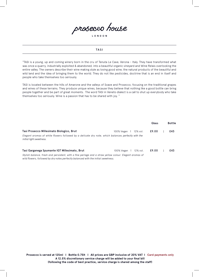

LONDON

#### TASI

"TASI is a young, up and coming winery born in the cru of Tenuta Le Cave, Verona - Italy. They have transformed what was once a quarry, industrially exploited & abandoned, into a beautiful organic vineyard and Wine Relais overlooking the entire valley. The owners describe their wine making style as loving good wine, the natural products of the beautiful and wild land and the idea of bringing them to the world. They do not like pesticides, doctrine that is an end in itself and people who take themselves too seriously.

TASI is located between the hills of Amarone and the valleys of Soave and Prosecco, focusing on the traditional grapes and wines of these terrains. They produce unique wines, because they believe that nothing like a good bottle can bring people together and be part of great moments. The word TASI in Veneto dialect is a call to shut up everybody who take themselves too seriously. Wine is a passion that has to be shared with joy. "

|                                                                                                                                       |                                       | Glass | <b>Bottle</b> |
|---------------------------------------------------------------------------------------------------------------------------------------|---------------------------------------|-------|---------------|
| Tasi Prosecco Millesimato Biologico, Brut                                                                                             | 12% vol.<br>100% Vegan                | £9.00 | £43           |
| Elegant aromas of white flowers followed by a delicate dry note, which balances perfectly with the<br><i>initial light sweetness.</i> |                                       |       |               |
| Tasi Garganega Spumante IGT Millesimato, Brut                                                                                         | 12% vol.<br>$100\%$ Vegan $\parallel$ | £9.00 | £43           |
| Stylish balance, fresh and persistent, with a fine perlage and a straw yellow colour. Elegant aromas of                               |                                       |       |               |

*wild flowers, followed by dry notes perfectly balanced with the initial sweetness.*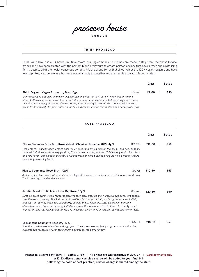#### THINK PROSECCO

ThinK Wine Group is a UK based, multiple award winning company. Our wines are made in Italy from the finest Treviso grapes and have been created with the perfect blend of flavours to create palatable wines that have a fresh and revitalising finish, despite all of the health conscious benefits. We are proud to say that all our wines are 100% vegan/ organic and have low sulphites, we operate as a business as sustainably as possible and are heading towards B-corp status.

|                                                                                                                                                                                                                   |             | Glass | Bottle |
|-------------------------------------------------------------------------------------------------------------------------------------------------------------------------------------------------------------------|-------------|-------|--------|
| Think Organic Vegan Prosecco, Brut, 5g/I                                                                                                                                                                          | $11\%$ vol. | £9.00 | £45    |
| Our Prosecco is a delightful and inviting light lemon colour, with straw-yellow reflections and a<br>vibrant effervescence. Aromas of orchard fruits such as pear meet lemon before giving way to notes           |             |       |        |
| of white peach and galia melon. On the palate, vibrant acidity is beautifully balanced with moreish<br>green fruits with light tropical notes on the finish. A generous wine that is clean and deeply satisfying. |             |       |        |

#### ROSE PROSECCO

|                                                                                                                                                                                                                                                                                                                                                                                                                                                                                                                                                                                                         |            | Glass  | <b>Bottle</b> |
|---------------------------------------------------------------------------------------------------------------------------------------------------------------------------------------------------------------------------------------------------------------------------------------------------------------------------------------------------------------------------------------------------------------------------------------------------------------------------------------------------------------------------------------------------------------------------------------------------------|------------|--------|---------------|
| Ettore Germano Extra Brut Rosé Metodo Classico 'Rosanna' (NV), 4g/l<br>Pink orange. Poached pear, orange peel, violet, rose, and grilled nuts on the nose. Then rich, peppery<br>orchard fruit flavours show very good depth and inner-mouth perfume. Finishes long and spicy, clean<br>and very floral. In the mouth, the entry is full and fresh, the fine bubbles giving the wine a creamy texture<br>and a long refreshing finish.                                                                                                                                                                  | 13% vol.   | £12.00 | £58           |
| Rivalta Spumante Rosé Brut, 10g/l<br>Delicate pink, fine colour with persistent perlage. It has intense reminiscence of the berries and viola.<br>The taste is dry, round and harmonic.                                                                                                                                                                                                                                                                                                                                                                                                                 | 12% vol.   | £10.50 | £53           |
| Serafini & Vidotto Bollicine Extra Dry Rosé, 12g/l<br>Light-coloured brush-stroke following closely peach blossoms, the fine, numerous and persistent bubbles<br>rise, the froth is creamy. The first sense of smell is a fluctuation of fruity and fragrant aromas: initially<br>blackcurrant scents, small wild strawberry, pomegranate, eglantine. Later on, a slight perfume<br>of toasted bread. Fresh and savoury initial taste, then the wine opens to a fruitiness in a background<br>of pleasant and increasing smoothness. Dry finish with persistence of soft fruit scents and flower taste. | 12% vol.   | £10.50 | £50           |
| Le Manzane Spumante Rosé Dry, 17g/l<br>Sparkling rosé wine obtained from the grapes of the Prosecco area. Fruity fragrance of blackberries,<br>currants and rasberries. Fresh tasting with a decidedly red berry flavour.                                                                                                                                                                                                                                                                                                                                                                               | 11.5% vol. | £10.50 | £53           |

Prosecco is served at 125ml | Bottle 0.75lt | All prices are GBP inclusive of 20% VAT | Card payments only **A 12.5% discretionary service charge will be added to your final bill (following the code of best practice, service charge is shared among the staff)**

LONDON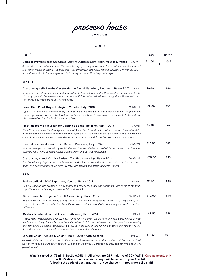#### WINES

| <b>ROSÉ</b>                                                                                                                                                                                                                                                                                                                                                                                                                    |            | Glass  | <b>Bottle</b> |
|--------------------------------------------------------------------------------------------------------------------------------------------------------------------------------------------------------------------------------------------------------------------------------------------------------------------------------------------------------------------------------------------------------------------------------|------------|--------|---------------|
| Côtes de Provence Rosé Cru Classé 'Saint-M', Chateau Saint-Maur, Provence, France<br>13% vol.<br>A beautiful, pale, salmon colour. The nose is very appealing and concentrated with notes of small red<br>fruits and orange blossom. The palate is fruit driven with strawberry and grapefruit dominating and<br>more floral notes in the background. Refreshing and smooth, with great length.                                |            | £11.00 | £45           |
| WHITE                                                                                                                                                                                                                                                                                                                                                                                                                          |            |        |               |
| Chardonnay delle Langhe Vigneto Morino Beni di Batasiolo, Piedmont, Italy - 2017 13% vol.<br>Intense straw-yellow colour, limpid and brilliant. Very rich bouquet with suggestions of tropical fruit,<br>citrus, grapefruit, honey and vanilla. In the mouth it is balanced, wide-ranging, dry with a breath of<br>fan-shaped aroma perceptible to the nose.                                                                   |            | £9.50  | £36           |
| Fasoli Gino Pinot Grigio Biologico, Veneto, Italy -2018                                                                                                                                                                                                                                                                                                                                                                        | 12.5% vol. | £9.00  | £35           |
| Light straw-yellow with greenish hues, the nose has a fine bouquet of citrus fruits with hints of peach and<br>cantaloupe melon. The excellent balance between acidity and body makes this wine full- bodied and<br>pleasantly refreshing. The finish is pleasantly fruity.                                                                                                                                                    |            |        |               |
| Pinot Bianco Weissburgunder Cantina Bolzano, Bolzano, Italy - 2018                                                                                                                                                                                                                                                                                                                                                             | 13% vol.   | £9.00  | £32           |
| Pinot Bianco is, even if not indigenous, one of South Tyrol's most typical wines. Johann, Duke of Austria,<br>introduced the first vines of the variety to the region during the middle of the 19th century. This elegant wine<br>comes from selected vineyards around Bolzano and convinces with fresh, floral aroma and nice acidity.                                                                                        |            |        |               |
| Gavi del Comune di Gavi, Folli & Benato, Piemonte, Italy - 2020                                                                                                                                                                                                                                                                                                                                                                | 12.5% vol. | £10.00 | £42           |
| Intense straw yellow color with greenish shades. Concentrated aromas of white peach, pear and jasmine,<br>carry through to the pallate which is elegant, fresh and perfectly balanced.                                                                                                                                                                                                                                         |            |        |               |
| Chardonnay Kreuth Cantina Terlano, Trentino Alto-Adige, Italy - 2019<br>This Chardonnay displays deliciously ripe fruit with a hint of aromatics. It shows vanilla and toast on the<br>finish. This powerful wine is truly age-worthy, with elegant complexity and great length.                                                                                                                                               | 13.5% vol. | £10.50 | £43           |
| <b>RED</b>                                                                                                                                                                                                                                                                                                                                                                                                                     |            |        |               |
| Tasi Valpolicella DOC Superiore, Veneto, Italy - 2017                                                                                                                                                                                                                                                                                                                                                                          | 13.5% vol. | £11.50 | £45           |
| Red ruby colour with aromas of black cherry and raspberry. Frank and quaffable, with notes of red fruit,<br>a gentle tannin and good persistence. (100% Organic)                                                                                                                                                                                                                                                               |            |        |               |
| Gulfi Rossojbleo Organic Nero D'Avola, Sicily, Italy - 2019                                                                                                                                                                                                                                                                                                                                                                    | 13.5% vol. | £10.00 | £40           |
| This radiant red, the Gulfi winery's entry-level Nero d'Avola, offers juicy raspberry fruit, lively acidity, and<br>a touch of spice. This is a wine that benefits from air: try it before and after decanting and you'll taste the<br>difference.                                                                                                                                                                             |            |        |               |
| Caldora Montepulciano d'Abruzzo, Abruzzo, Italy - 2018                                                                                                                                                                                                                                                                                                                                                                         | 13% vol.   | £9.50  | £38           |
| A ruby red Montepulciano d'Abruzzo with reflections of garnet. On the nose and palate this wine is intense,<br>peristent and fruity. The fruits range from hints of red fruit to dark, with marasca cherry and prunes leading<br>the way, while a delightful complexity is brought to the drinker through hints of spice and vanilla. It is full-<br>bodied, round and soft but with a balancing freshness and bright tannins. |            |        |               |
| Le Corti Chianti Classico, Chianti, Italy - 2016 (100% Organic)                                                                                                                                                                                                                                                                                                                                                                | 14% vol.   | £10.50 | £40           |
| A classic style, with a youthful and fruity intensity. Ruby-red in colour, floral notes of violet and iris, fresh<br>ripe cherries and a mild spicy nuance. Complimented by well-balanced acidity, soft tannins and a long                                                                                                                                                                                                     |            |        |               |

**ine is served at 175ml I Bottle 0.75lt I All prices are GBP inclusive of 20% VAT I Card payments only A 12.5% discretionary service charge will be added to your final bill (following the code of best practice, service charge is shared among the staff)**

*persistant finish.*

LONDON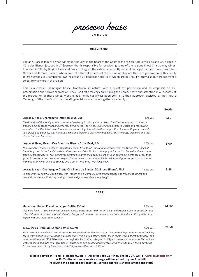

```
LONDON
```
#### CHAMPAGNE

Legras & Haas is family-owned winery in Chouilly, in the heart of the Champagne region. Chouilly is a Grand Cru village in Côte des Blancs, just south of Epernay, that is responsible for producing some of the regions finest Chardonnay wines. Founded in 1991 by Brigitte Haas and François Legras, the estate is currently run and managed by their three sons Rémi, Olivier and Jérôme. Each of whom control different aspects of the business. They are the sixth generation of this family to grow grapes in Champagne, owning around 38 hectares here (18 of which are in Chouilly), they also buy grapes from a select few farmers in the region.

This is a classic Champagne house, traditional in nature, with a quest for perfection and an emphasis on soil preservation and terroir expression. They use first pressings only, taking the upmost care and attention in all aspects of the production of these wines. Working as a family has always been central to their approach, assisted by their house Oenologist Sébastien Struzik, all blending decisions are made together as a family.

|                                                                                                                                                                                                                                                                                                                                                                                                                                                                                                                                                                     | <b>Bottle</b> |
|---------------------------------------------------------------------------------------------------------------------------------------------------------------------------------------------------------------------------------------------------------------------------------------------------------------------------------------------------------------------------------------------------------------------------------------------------------------------------------------------------------------------------------------------------------------------|---------------|
| Legras & Haas, Champagne Intuition Brut, 75cl<br>12% vol.                                                                                                                                                                                                                                                                                                                                                                                                                                                                                                           | £80           |
| The diversity of the family estate is captured perfectly in this signature blend. The Chardonnay imparts finesse,<br>elegance, white stone fruits and ethereal citrus notes. The Pinot Meunier gives a smooth, exotic and reassuring<br>mouthfeel. The Pinot Noir structures the wine and brings intensity to the composition. A wine with great concentra-<br>tion, poise and balance, everything you want and more in a classic Champagne, with richness, elegance and that<br>classic buttery character.                                                         |               |
| Legras & Haas, Grand Cru Blanc de Blancs Extra Brut, 75cl<br>12.5% vol.                                                                                                                                                                                                                                                                                                                                                                                                                                                                                             | £100          |
| The Grand Cru Blanc de Blancs Extra Brut is made from 100% Chardonnay grapes from the Grand Cru village of<br>Chouilly, grown in the family's oldest hilltop parcels. Extra Brut is a champagne for purists. Bone dry, linear, super<br>clean, feels compact at first but as you continue to drink the power builds on your palate. One of those wines that<br>grows in presence and power. An elegant Chardonnay based wine which is serious and precise, yet approachable,<br>with beautiful minerality and salinity and a persistent, long, long, long finish.   |               |
| Legras & Haas, Champagne Grand Cru Blanc de Blancs 2013 'Les Sillons', 75cl<br>12.5% vol.                                                                                                                                                                                                                                                                                                                                                                                                                                                                           | £145          |
| Immediately wonderful in the glass. Rich, mouth filling, complex, with great balance and freshness. Bright and<br>aromatic. Austere with strong acidity, a bold mid palate and very long length.                                                                                                                                                                                                                                                                                                                                                                    |               |
| <b>BEER</b>                                                                                                                                                                                                                                                                                                                                                                                                                                                                                                                                                         |               |
| Menabrea, Italian Premium Larger Bottle 330ml<br>4.8% vol.                                                                                                                                                                                                                                                                                                                                                                                                                                                                                                          | £6.50         |
| This pale lager is well balanced between citrus, bitter tones and floral, fruity undertones giving a consistent and<br>refined flavour. It has a complicated malty, hoppy taste with an exceptional head retention due to the quality of our<br>ingredients and maturation process.                                                                                                                                                                                                                                                                                 |               |
| 1936, Swiss Premium Larger Bottle 330ml<br>4.7% vol.                                                                                                                                                                                                                                                                                                                                                                                                                                                                                                                | £6.50         |
| 1936 lager is brewed with the softest water sourced within the Swiss Alps. This golden lager obtains its refreshing<br>taste from beautiful Swiss hops & pilsner malt. It is a ultra clean, crisp, fresh lager with a slight sweetness. The<br>water used to brew 1936 Bière filters through the Swiss Alps, taking up to 25 years to reach the source. This unique<br>water is combined with raw ingredients - Swiss hops and golden barley grown at high altitude on the mountains -<br>to create a beer totally free from artificial preservatives or additives. |               |

**ine is served at 175ml I Bottle 0.75lt I All prices are GBP inclusive of 20% VAT I Card payments only A 12.5% discretionary service charge will be added to your final bill (following the code of best practice, service charge is shared among the staff)**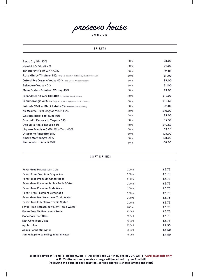prosecco house

LONDON

### **SPIRITS**

| Berto Dry Gin 43%                                                       | 50 <sub>ml</sub> | £8.00  |
|-------------------------------------------------------------------------|------------------|--------|
| Hendrick's Gin 41.4%                                                    | 50ml             | £9.00  |
| Tangueray No 10 Gin 47.3%                                               | 50 <sub>ml</sub> | £11.00 |
| Rose Gin by Tinkture 44% Organic Rose Gin Distilled by Hand in Cornwall | 50 <sub>ml</sub> | £11.00 |
| Oxford Rye Organic Vodka 40 % The Oxford Artisan Distillery             | 50 <sub>ml</sub> | £9.00  |
| <b>Belvedere Vodka 40 %</b>                                             | 50 <sub>ml</sub> | £11.00 |
| Maker's Mark Bourbon Whisky 45%                                         | 50ml             | £9.00  |
| Glenfiddich 18 Year Old 40% Single Malt Scotch Whisky                   | 50 <sub>ml</sub> | £12.00 |
| <b>Glenmorangie 40%</b> The Original Highland Single Malt Scotch Whisky | 50 <sub>ml</sub> | £10.50 |
| Johnnie Walker Black Label 40% Blended Scotch Whisky                    | 50 <sub>ml</sub> | £11.00 |
| XR Maxime Trijol Cognac VSOP 40%                                        | 50 <sub>ml</sub> | £10.00 |
| Goslings Black Seal Rum 40%                                             | 50ml             | £9.00  |
| Don Julio Reposado Tequila 38%                                          | 50 <sub>ml</sub> | £9.50  |
| Don Julio Anejo Tequila 38%                                             | 50 <sub>ml</sub> | £10.50 |
| Liquore Brandy e Caffé, Villa Zarri 40%                                 | 50 <sub>ml</sub> | £9.50  |
| Disaronno Amaretto 28%                                                  | 50 <sub>ml</sub> | £8.00  |
| Amaro Montenegro 23%                                                    | 50 <sub>ml</sub> | £8.00  |
| Limoncello di Amalfi 25%                                                | 50 <sub>ml</sub> | £8.00  |

#### SOFT DRINKS

| Fever-Tree Madagascan Cola                | 200ml | £3.75 |
|-------------------------------------------|-------|-------|
| Fever-Tree Premium Ginger Ale             | 200ml | £3.75 |
| Fever-Tree Premium Ginger Beer            | 200ml | £3.75 |
| Fever-Tree Premium Indian Tonic Water     | 200ml | £3.75 |
| Fever-Tree Premium Soda Water             | 200ml | £3.75 |
| <b>Fever-Tree Premium Lemonade</b>        | 200ml | £3.75 |
| Fever-Tree Mediterranean Tonic Water      | 200ml | £3.75 |
| <b>Fever-Tree Elderflower Tonic Water</b> | 200ml | £3.75 |
| Fever-Tree Refreshingly Light Tonic Water | 200ml | £3.75 |
| Fever-Tree Sicilian Lemon Tonic           | 200ml | £3.75 |
| Coca Cola Icon Glass                      | 200ml | £3.75 |
| Diet Coke Icon Glass                      | 200ml | £3.75 |
| Apple Juice                               | 200ml | £2.50 |
| Acqua Panna still water                   | 750ml | £4.50 |
| San Pellegrino sparkling mineral water    | 750ml | £4.50 |

**ine is served at 175ml I Bottle 0.75lt I All prices are GBP inclusive of 20% VAT I Card payments only A 12.5% discretionary service charge will be added to your final bill (following the code of best practice, service charge is shared among the staff)**